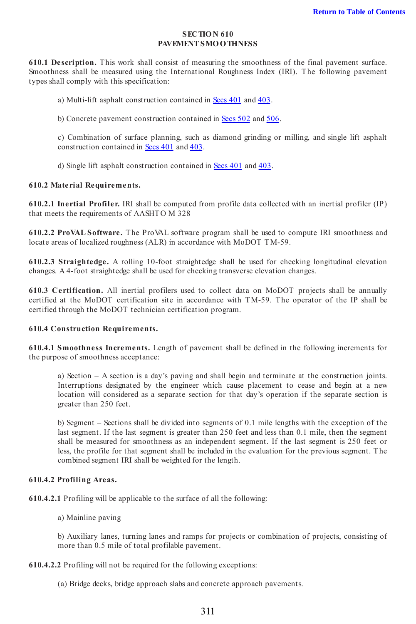### SECTION 610 PAVEMENT SMO O THNESS

610.1 Description. This work shall consist of measuring the smoothness of the final pavement surface. Smoothness shall be measured using the International Roughness Index (IRI). The following pavement types shall comply with this specification:

a) Multi-lift asphalt construction contained in Secs 401 and 403.

b) Concrete pavement construction contained in Secs 502 and 506.

c) Combination of surface planning, such as diamond grinding or milling, and single lift asphalt construction contained in Secs 401 and 403.

d) Single lift asphalt construction contained in Secs 401 and 403.

#### 610.2 Material Requirements.

610.2.1 Inertial Profiler. IRI shall be computed from profile data collected with an inertial profiler (IP) that meets the requirements of AASHTO M 328

610.2.2 ProVAL Software. The ProVAL software program shall be used to compute IRI smoothness and locate areas of localized roughness (ALR) in accordance with MoDOT TM-59.

610.2.3 Straightedge. A rolling 10-foot straightedge shall be used for checking longitudinal elevation changes. A 4-foot straightedge shall be used for checking transverse elevation changes.

610.3 Certification. All inertial profilers used to collect data on MoDOT projects shall be annually certified at the MoDOT certification site in accordance with TM-59. The operator of the IP shall be certified through the MoDOT technician certification program.

### 610.4 Construction Requirements.

610.4.1 Smoothness Increments. Length of pavement shall be defined in the following increments for the purpose of smoothness acceptance:

a) Section – A section is a day's paving and shall begin and terminate at the construction joints. Interruptions designated by the engineer which cause placement to cease and begin at a new location will considered as a separate section for that day's operation if the separate section is greater than 250 feet.

b) Segment – Sections shall be divided into segments of 0.1 mile lengths with the exception of the last segment. If the last segment is greater than 250 feet and less than 0.1 mile, then the segment shall be measured for smoothness as an independent segment. If the last segment is 250 feet or less, the profile for that segment shall be included in the evaluation for the previous segment. The combined segment IRI shall be weighted for the length.

### 610.4.2 Profiling Areas.

610.4.2.1 Profiling will be applicable to the surface of all the following:

a) Mainline paving

b) Auxiliary lanes, turning lanes and ramps for projects or combination of projects, consisting of more than 0.5 mile of total profilable pavement.

610.4.2.2 Profiling will not be required for the following exceptions:

(a) Bridge decks, bridge approach slabs and concrete approach pavements.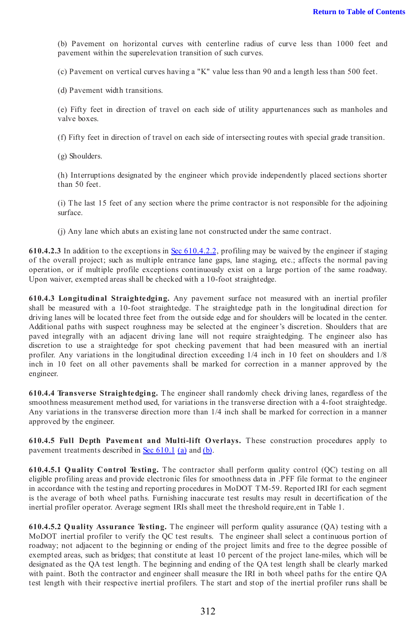(b) Pavement on horizontal curves with centerline radius of curve less than 1000 feet and pavement within the superelevation transition of such curves.

(c) Pavement on vertical curves having a "K" value less than 90 and a length less than 500 feet.

(d) Pavement width transitions.

(e) Fifty feet in direction of travel on each side of utility appurtenances such as manholes and valve boxes.

(f) Fifty feet in direction of travel on each side of intersecting routes with special grade transition.

(g) Shoulders.

(h) Interruptions designated by the engineer which provide independently placed sections shorter than 50 feet.

(i) The last 15 feet of any section where the prime contractor is not responsible for the adjoining surface.

(j) Any lane which abuts an existing lane not constructed under the same contract.

610.4.2.3 In addition to the exceptions in Sec 610.4.2.2, profiling may be waived by the engineer if staging of the overall project; such as multiple entrance lane gaps, lane staging, etc.; affects the normal paving operation, or if multiple profile exceptions continuously exist on a large portion of the same roadway. Upon waiver, exempted areas shall be checked with a 10-foot straightedge.

610.4.3 Longitudinal Straightedging. Any pavement surface not measured with an inertial profiler shall be measured with a 10-foot straightedge. The straightedge path in the longitudinal direction for driving lanes will be located three feet from the outside edge and for shoulders will be located in the center. Additional paths with suspect roughness may be selected at the engineer's discretion. Shoulders that are paved integrally with an adjacent driving lane will not require straightedging. The engineer also has discretion to use a straightedge for spot checking pavement that had been measured with an inertial profiler. Any variations in the longitudinal direction exceeding 1/4 inch in 10 feet on shoulders and 1/8 inch in 10 feet on all other pavements shall be marked for correction in a manner approved by the engineer.

610.4.4 Transverse Straightedging. The engineer shall randomly check driving lanes, regardless of the smoothness measurement method used, for variations in the transverse direction with a 4-foot straightedge. Any variations in the transverse direction more than 1/4 inch shall be marked for correction in a manner approved by the engineer.

610.4.5 Full Depth Pavement and Multi-lift O verlays. These construction procedures apply to pavement treatments described in Sec 610.1 (a) and (b).

610.4.5.1 Q uality Control Testing. The contractor shall perform quality control (QC) testing on all eligible profiling areas and provide electronic files for smoothness data in .PFF file format to the engineer in accordance with the testing and reporting procedures in MoDOT TM-59. Reported IRI for each segment is the average of both wheel paths. Furnishing inaccurate test results may result in decertification of the inertial profiler operator. Average segment IRIs shall meet the threshold require,ent in Table 1.

610.4.5.2 Q uality Assurance Testing. The engineer will perform quality assurance (QA) testing with a MoDOT inertial profiler to verify the QC test results. The engineer shall select a continuous portion of roadway; not adjacent to the beginning or ending of the project limits and free to the degree possible of exempted areas, such as bridges; that constitute at least 10 percent of the project lane-miles, which will be designated as the QA test length. The beginning and ending of the QA test length shall be clearly marked with paint. Both the contractor and engineer shall measure the IRI in both wheel paths for the entire QA test length with their respective inertial profilers. The start and stop of the inertial profiler runs shall be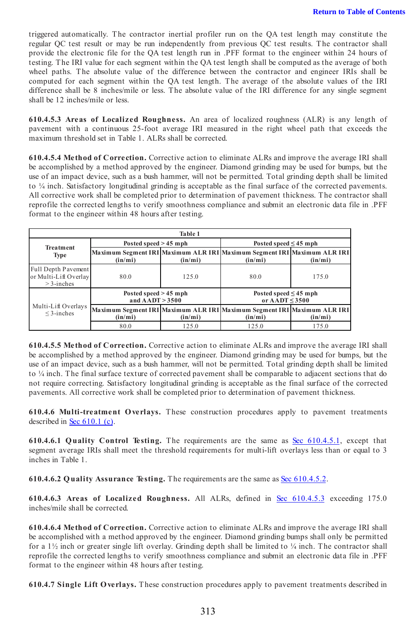triggered automatically. The contractor inertial profiler run on the QA test length may constitute the regular QC test result or may be run independently from previous QC test results. The contractor shall provide the electronic file for the QA test length run in .PFF format to the engineer within 24 hours of testing. The IRI value for each segment within the QA test length shall be computed as the average of both wheel paths. The absolute value of the difference between the contractor and engineer IRIs shall be computed for each segment within the QA test length. The average of the absolute values of the IRI difference shall be 8 inches/mile or less. The absolute value of the IRI difference for any single segment shall be 12 inches/mile or less.

<span id="page-2-0"></span>610.4.5.3 Areas of Localized Roughness. An area of localized roughness (ALR) is any length of pavement with a continuous 25-foot average IRI measured in the right wheel path that exceeds the maximum threshold set in Table 1. ALRs shall be corrected.

610.4.5.4 Method of Correction. Corrective action to eliminate ALRs and improve the average IRI shall be accomplished by a method approved by the engineer. Diamond grinding may be used for bumps, but the use of an impact device, such as a bush hammer, will not be permitted. Total grinding depth shall be limited to ¼ inch. Satisfactory longitudinal grinding is acceptable as the final surface of the corrected pavements. All corrective work shall be completed prior to determination of pavement thickness. The contractor shall reprofile the corrected lengths to verify smoothness compliance and submit an electronic data file in .PFF format to the engineer within 48 hours after testing.

| Table 1                                                      |                                              |          |                                                                                     |          |  |
|--------------------------------------------------------------|----------------------------------------------|----------|-------------------------------------------------------------------------------------|----------|--|
| <b>Treatment</b><br>Type                                     | Posted speed $> 45$ mph                      |          | Posted speed $\leq 45$ mph                                                          |          |  |
|                                                              | (in/min)                                     | (in/min) | Maximum Segment IRI Maximum ALR IRI Maximum Segment IRI Maximum ALR IRI<br>(in/min) | (in/min) |  |
| Full Depth Pavement<br>or Multi-Lift Overlay<br>$>$ 3-inches | 80.0                                         | 125.0    | 80.0                                                                                | 175.0    |  |
| Multi-Lift Overlays<br>$\leq$ 3-inches                       | Posted speed $> 45$ mph<br>and $AADT > 3500$ |          | Posted speed $\leq$ 45 mph<br>or $\triangle$ ADT < 3500                             |          |  |
|                                                              | (in/min)                                     | (in/mi)  | Maximum Segment IRI Maximum ALR IRI Maximum Segment IRI Maximum ALR IRI<br>(in/min) | (in/min) |  |
|                                                              | 80.0                                         | 125.0    | 125.0                                                                               | 175.0    |  |

610.4.5.5 Method of Correction. Corrective action to eliminate ALRs and improve the average IRI shall be accomplished by a method approved by the engineer. Diamond grinding may be used for bumps, but the use of an impact device, such as a bush hammer, will not be permitted. Total grinding depth shall be limited to ¼ inch. The final surface texture of corrected pavement shall be comparable to adjacent sections that do not require correcting. Satisfactory longitudinal grinding is acceptable as the final surface of the corrected pavements. All corrective work shall be completed prior to determination of pavement thickness.

610.4.6 Multi-treatment O verlays. These construction procedures apply to pavement treatments described in Sec 610.1 (c).

610.4.6.1 Quality Control Testing. The requirements are the same as Sec 610.4.5.1, except that segment average IRIs shall meet the threshold requirements for multi-lift overlays less than or equal to 3 inches in Table 1.

610.4.6.2 Q uality Assurance Testing. The requirements are the same as Sec 610.4.5.2.

610.4.6.3 Areas of Localized Roughness. All ALRs, defined in [Sec 610.4.5.3](#page-2-0) exceeding 175.0 inches/mile shall be corrected.

610.4.6.4 Method of Correction. Corrective action to eliminate ALRs and improve the average IRI shall be accomplished with a method approved by the engineer. Diamond grinding bumps shall only be permitted for a  $1\frac{1}{2}$  inch or greater single lift overlay. Grinding depth shall be limited to  $\frac{1}{4}$  inch. The contractor shall reprofile the corrected lengths to verify smoothness compliance and submit an electronic data file in .PFF format to the engineer within 48 hours after testing.

610.4.7 Single Lift O verlays. These construction procedures apply to pavement treatments described in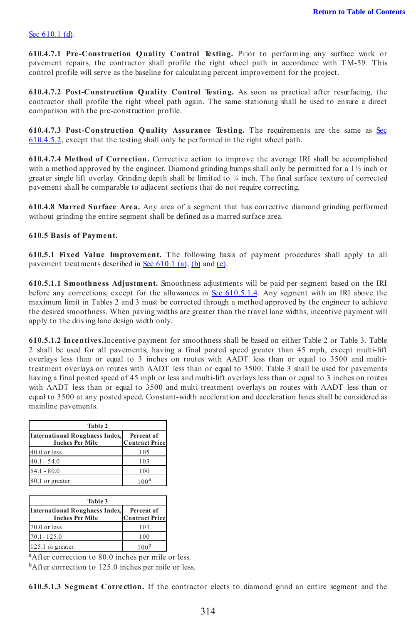# Sec 610.1 (d).

610.4.7.1 Pre-Construction Q uality Control Testing. Prior to performing any surface work or pavement repairs, the contractor shall profile the right wheel path in accordance with TM-59. This control profile will serve as the baseline for calculating percent improvement for the project.

610.4.7.2 Post-Construction Q uality Control Testing. As soon as practical after resurfacing, the contractor shall profile the right wheel path again. The same stationing shall be used to ensure a direct comparison with the pre-construction profile.

610.4.7.3 Post-Construction Q uality Assurance Testing. The requirements are the same as Sec 610.4.5.2, except that the testing shall only be performed in the right wheel path.

610.4.7.4 Method of Correction. Corrective action to improve the average IRI shall be accomplished with a method approved by the engineer. Diamond grinding bumps shall only be permitted for a 1½ inch or greater single lift overlay. Grinding depth shall be limited to ¼ inch. The final surface texture of corrected pavement shall be comparable to adjacent sections that do not require correcting.

610.4.8 Marred Surface Area. Any area of a segment that has corrective diamond grinding performed without grinding the entire segment shall be defined as a marred surface area.

# 610.5 Basis of Payment.

610.5.1 Fixed Value Improvement. The following basis of payment procedures shall apply to all pavement treatments described in Sec 610.1 (a), (b) and (c).

610.5.1.1 Smoothness Adjustment. Smoothness adjustments will be paid per segment based on the IRI before any corrections, except for the allowances in Sec 610.5.1.4. Any segment with an IRI above the maximum limit in Tables 2 and 3 must be corrected through a method approved by the engineer to achieve the desired smoothness. When paving widths are greater than the travel lane widths, incentive payment will apply to the driving lane design width only.

610.5.1.2 Incentives.Incentive payment for smoothness shall be based on either Table 2 or Table 3. Table 2 shall be used for all pavements, having a final posted speed greater than 45 mph, except multi-lift overlays less than or equal to 3 inches on routes with AADT less than or equal to 3500 and multitreatment overlays on routes with AADT less than or equal to 3500. Table 3 shall be used for pavements having a final posted speed of 45 mph or less and multi-lift overlays less than or equal to 3 inches on routes with AADT less than or equal to 3500 and multi-treatment overlays on routes with AADT less than or equal to 3500 at any posted speed. Constant-width acceleration and deceleration lanes shall be considered as mainline pavements.

| Table 2                                                  |                                     |  |  |  |
|----------------------------------------------------------|-------------------------------------|--|--|--|
| International Roughness Index,<br><b>Inches Per Mile</b> | Percent of<br><b>Contract Price</b> |  |  |  |
| 40.0 or less                                             | 105                                 |  |  |  |
| $40.1 - 54.0$                                            | 103                                 |  |  |  |
| $54.1 - 80.0$                                            | 100                                 |  |  |  |
| 80.1 or greater                                          | 100 <sup>a</sup>                    |  |  |  |

| Table 3                                                         |                                     |  |  |
|-----------------------------------------------------------------|-------------------------------------|--|--|
| <b>International Roughness Index,</b><br><b>Inches Per Mile</b> | Percent of<br><b>Contract Price</b> |  |  |
| 70.0 or less                                                    | 103                                 |  |  |
| $70.1 - 125.0$                                                  | 100                                 |  |  |
| 125.1 or greater                                                | 100 <sup>b</sup>                    |  |  |

<sup>a</sup>After correction to 80.0 inches per mile or less.

<sup>b</sup>After correction to 125.0 inches per mile or less.

610.5.1.3 Segment Correction. If the contractor elects to diamond grind an entire segment and the